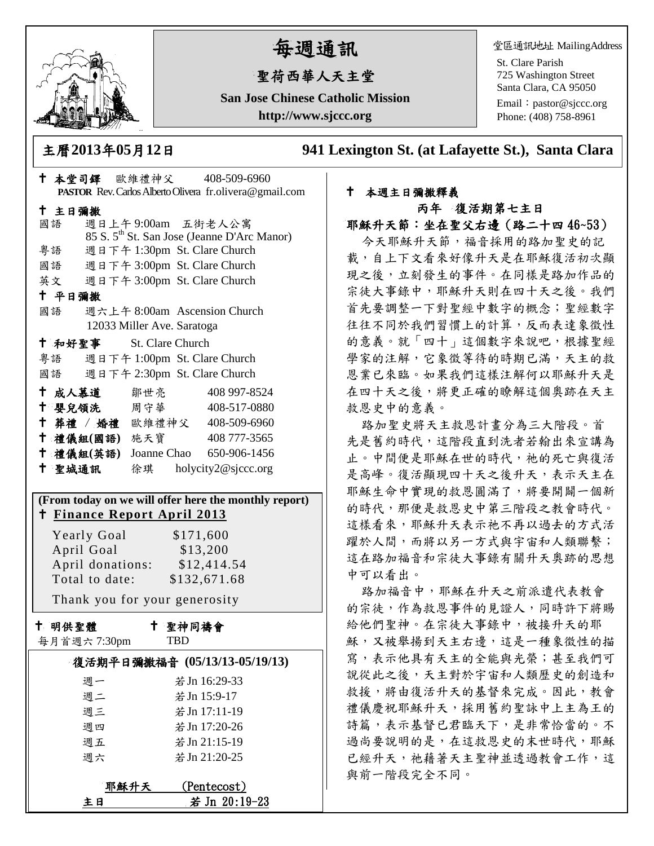

# 每週通訊

## 聖荷西華人天主堂

**San Jose Chinese Catholic Mission http://www.sjccc.org**

堂區通訊地址 MailingAddress

St. Clare Parish 725 Washington Street Santa Clara, CA 95050

Email: [pastor@sjccc.org](mailto:pastor@sjccc.org) Phone: (408) 758-8961

主曆**2013**年**05**月**12**日 **941 Lexington St. (at Lafayette St.), Santa Clara** 

### 本堂司鐸 歐維禮神父 408-509-6960 **PASTOR** Rev. Carlos Alberto Olivera fr.olivera@gmail.com 主日彌撒 國語 週日上午 9:00am 五街老人公寓 85 S. 5th St. San Jose (Jeanne D'Arc Manor) 粵語 週日下午 1:30pm St. Clare Church 國語 週日下午 3:00pm St. Clare Church 英文 週日下午 3:00pm St. Clare Church 平日彌撒 國語 週六上午 8:00am Ascension Church 12033 Miller Ave. Saratoga 和好聖事 St. Clare Church 粵語 週日下午 1:00pm St. Clare Church 國語 週日下午 2:30pm St. Clare Church 十成人慕道 鄒世亮 408 997-8524 十 嬰兒領洗 周守華 408-517-0880 葬禮 / 婚禮 歐維禮神父 408-509-6960 禮儀組**(**國語**)** 施天寶 408 777-3565 禮儀組**(**英語**)** Joanne Chao 650-906-1456 聖城通訊 徐琪 holycity2@sjccc.org **(From today on we will offer here the monthly report) Finance [Report April 2013](http://sjccc.org/index.php/finance.html?src=bulletin112512)** Yearly Goal \$171,600 April Goal \$13,200 April donations: \$12,414.54 Total to date: \$132,671.68 Thank you for your generosity 十 明供聖體 聖神同禱會

每月首週六 7:30pm

TBD

|      | 復活期平日彌撒福音 (05/13/13-05/19/13) |  |
|------|-------------------------------|--|
| 週一   | 若 Jn 16:29-33                 |  |
| 週二   | 若 Jn 15:9-17                  |  |
| 週三   | 若 Jn 17:11-19                 |  |
| 调四   | 若 Jn 17:20-26                 |  |
| 週五   | 若 Jn 21:15-19                 |  |
| 週六   | 若 Jn 21:20-25                 |  |
|      |                               |  |
| 耶穌升天 | (Pentecost)                   |  |
| ‡ B  | 若 Jn 20:19-23                 |  |

#### 本週主日彌撒釋義 丙年 復活期第七主日

#### 耶穌升天節:坐在聖父右邊(路二十四 46~53)

今天耶穌升天節,福音採用的路加聖史的記 載,自上下文看來好像升天是在耶穌復活初次顯 現之後,立刻發生的事件。在同樣是路加作品的 宗徒大事錄中,耶穌升天則在四十天之後。我們 首先要調整一下對聖經中數字的概念;聖經數字 往往不同於我們習慣上的計算,反而表達象徵性 的意義。就「四十」這個數字來說吧,根據聖經 學家的注解,它象徵等待的時期已滿,天主的救 恩業已來臨。如果我們這樣注解何以耶穌升天是 在四十天之後,將更正確的瞭解這個奧跡在天主 救恩史中的意義。

路加聖史將天主救恩計畫分為三大階段。首 先是舊約時代,這階段直到洗者若翰出來宣講為 止。中間便是耶穌在世的時代,祂的死亡與復活 是高峰。復活顯現四十天之後升天,表示天主在 耶穌生命中實現的救恩圓滿了,將要開闢一個新 的時代,那便是救恩史中第三階段之教會時代。 這樣看來,耶穌升天表示祂不再以過去的方式活 躍於人間,而將以另一方式與宇宙和人類聯繫; 這在路加福音和宗徒大事錄有關升天奧跡的思想 中可以看出。

路加福音中,耶穌在升天之前派遣代表教會 的宗徒,作為救恩事件的見證人,同時許下將賜 給他們聖神。在宗徒大事錄中,被接升天的耶 穌,又被舉揚到天主右邊,這是一種象徵性的描 寫,表示他具有天主的全能與光榮;甚至我們可 說從此之後,天主對於宇宙和人類歷史的創造和 救援,將由復活升天的基督來完成。因此,教會 禮儀慶祝耶穌升天,採用舊約聖詠中上主為王的 詩篇,表示基督已君臨天下,是非常恰當的。不 過尚要說明的是,在這救恩史的末世時代,耶穌 已經升天,祂藉著天主聖神並透過教會工作,這 與前一階段完全不同。